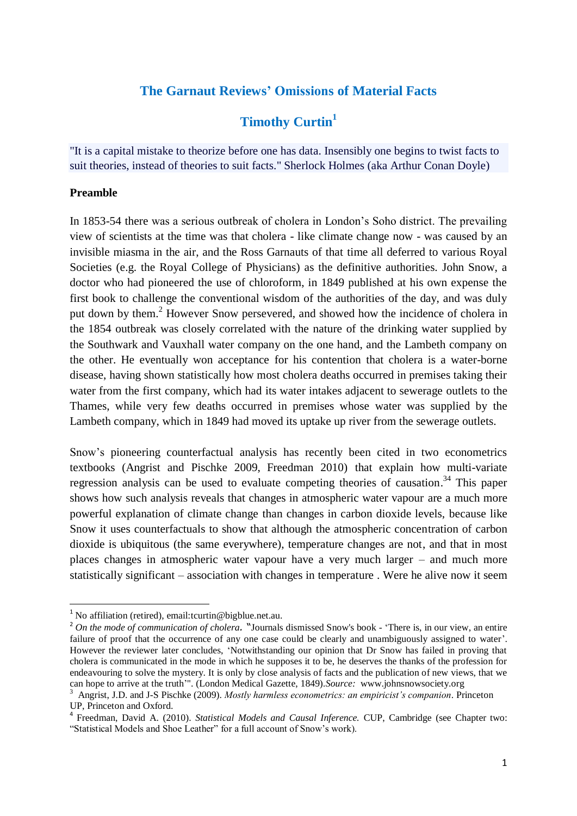# **The Garnaut Reviews' Omissions of Material Facts**

# **Timothy Curtin<sup>1</sup>**

"It is a capital mistake to theorize before one has data. Insensibly one begins to twist facts to suit theories, instead of theories to suit facts." Sherlock Holmes (aka Arthur Conan Doyle)

### **Preamble**

1

In 1853-54 there was a serious outbreak of cholera in London"s Soho district. The prevailing view of scientists at the time was that cholera - like climate change now - was caused by an invisible miasma in the air, and the Ross Garnauts of that time all deferred to various Royal Societies (e.g. the Royal College of Physicians) as the definitive authorities. John Snow, a doctor who had pioneered the use of chloroform, in 1849 published at his own expense the first book to challenge the conventional wisdom of the authorities of the day, and was duly put down by them.<sup>2</sup> However Snow persevered, and showed how the incidence of cholera in the 1854 outbreak was closely correlated with the nature of the drinking water supplied by the Southwark and Vauxhall water company on the one hand, and the Lambeth company on the other. He eventually won acceptance for his contention that cholera is a water-borne disease, having shown statistically how most cholera deaths occurred in premises taking their water from the first company, which had its water intakes adjacent to sewerage outlets to the Thames, while very few deaths occurred in premises whose water was supplied by the Lambeth company, which in 1849 had moved its uptake up river from the sewerage outlets.

Snow"s pioneering counterfactual analysis has recently been cited in two econometrics textbooks (Angrist and Pischke 2009, Freedman 2010) that explain how multi-variate regression analysis can be used to evaluate competing theories of causation.<sup>34</sup> This paper shows how such analysis reveals that changes in atmospheric water vapour are a much more powerful explanation of climate change than changes in carbon dioxide levels, because like Snow it uses counterfactuals to show that although the atmospheric concentration of carbon dioxide is ubiquitous (the same everywhere), temperature changes are not, and that in most places changes in atmospheric water vapour have a very much larger – and much more statistically significant – association with changes in temperature . Were he alive now it seem

<sup>&</sup>lt;sup>1</sup> No affiliation (retired), email:tcurtin@bigblue.net.au.

<sup>2</sup> *On the mode of communication of cholera.* "Journals dismissed Snow's book - "There is, in our view, an entire failure of proof that the occurrence of any one case could be clearly and unambiguously assigned to water'. However the reviewer later concludes, "Notwithstanding our opinion that Dr Snow has failed in proving that cholera is communicated in the mode in which he supposes it to be, he deserves the thanks of the profession for endeavouring to solve the mystery. It is only by close analysis of facts and the publication of new views, that we can hope to arrive at the truth"". (London Medical Gazette, 1849)*.Source:* www.johnsnowsociety.org

<sup>3</sup> Angrist, J.D. and J-S Pischke (2009). *Mostly harmless econometrics: an empiricist's companion*. Princeton UP, Princeton and Oxford.

<sup>4</sup> Freedman, David A. (2010). *Statistical Models and Causal Inference.* CUP, Cambridge (see Chapter two: "Statistical Models and Shoe Leather" for a full account of Snow"s work).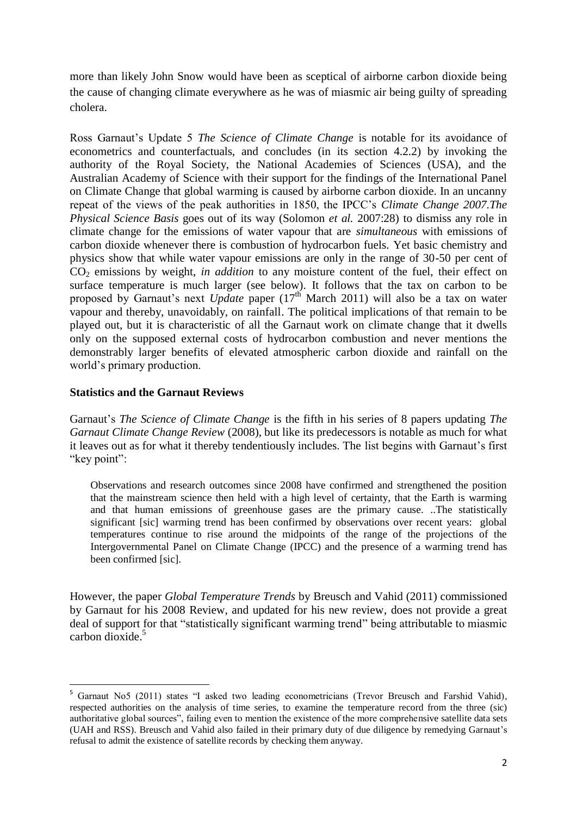more than likely John Snow would have been as sceptical of airborne carbon dioxide being the cause of changing climate everywhere as he was of miasmic air being guilty of spreading cholera.

Ross Garnaut's Update 5 *The Science of Climate Change* is notable for its avoidance of econometrics and counterfactuals, and concludes (in its section 4.2.2) by invoking the authority of the Royal Society, the National Academies of Sciences (USA), and the Australian Academy of Science with their support for the findings of the International Panel on Climate Change that global warming is caused by airborne carbon dioxide. In an uncanny repeat of the views of the peak authorities in 1850, the IPCC"s *Climate Change 2007.The Physical Science Basis* goes out of its way (Solomon *et al.* 2007:28) to dismiss any role in climate change for the emissions of water vapour that are *simultaneous* with emissions of carbon dioxide whenever there is combustion of hydrocarbon fuels. Yet basic chemistry and physics show that while water vapour emissions are only in the range of 30-50 per cent of CO<sub>2</sub> emissions by weight, *in addition* to any moisture content of the fuel, their effect on surface temperature is much larger (see below). It follows that the tax on carbon to be proposed by Garnaut's next *Update* paper (17<sup>th</sup> March 2011) will also be a tax on water vapour and thereby, unavoidably, on rainfall. The political implications of that remain to be played out, but it is characteristic of all the Garnaut work on climate change that it dwells only on the supposed external costs of hydrocarbon combustion and never mentions the demonstrably larger benefits of elevated atmospheric carbon dioxide and rainfall on the world"s primary production.

### **Statistics and the Garnaut Reviews**

Garnaut"s *The Science of Climate Change* is the fifth in his series of 8 papers updating *The Garnaut Climate Change Review* (2008), but like its predecessors is notable as much for what it leaves out as for what it thereby tendentiously includes. The list begins with Garnaut's first "key point":

Observations and research outcomes since 2008 have confirmed and strengthened the position that the mainstream science then held with a high level of certainty, that the Earth is warming and that human emissions of greenhouse gases are the primary cause. ..The statistically significant [sic] warming trend has been confirmed by observations over recent years: global temperatures continue to rise around the midpoints of the range of the projections of the Intergovernmental Panel on Climate Change (IPCC) and the presence of a warming trend has been confirmed [sic].

However, the paper *Global Temperature Trends* by Breusch and Vahid (2011) commissioned by Garnaut for his 2008 Review, and updated for his new review, does not provide a great deal of support for that "statistically significant warming trend" being attributable to miasmic carbon dioxide. 5

<sup>1</sup> <sup>5</sup> Garnaut No5 (2011) states "I asked two leading econometricians (Trevor Breusch and Farshid Vahid), respected authorities on the analysis of time series, to examine the temperature record from the three (sic) authoritative global sources", failing even to mention the existence of the more comprehensive satellite data sets (UAH and RSS). Breusch and Vahid also failed in their primary duty of due diligence by remedying Garnaut"s refusal to admit the existence of satellite records by checking them anyway.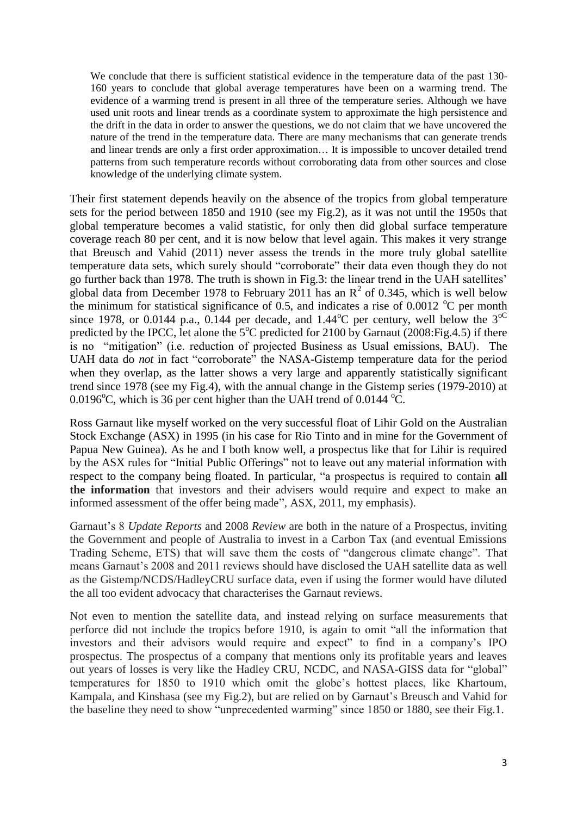We conclude that there is sufficient statistical evidence in the temperature data of the past 130-160 years to conclude that global average temperatures have been on a warming trend. The evidence of a warming trend is present in all three of the temperature series. Although we have used unit roots and linear trends as a coordinate system to approximate the high persistence and the drift in the data in order to answer the questions, we do not claim that we have uncovered the nature of the trend in the temperature data. There are many mechanisms that can generate trends and linear trends are only a first order approximation… It is impossible to uncover detailed trend patterns from such temperature records without corroborating data from other sources and close knowledge of the underlying climate system.

Their first statement depends heavily on the absence of the tropics from global temperature sets for the period between 1850 and 1910 (see my Fig.2), as it was not until the 1950s that global temperature becomes a valid statistic, for only then did global surface temperature coverage reach 80 per cent, and it is now below that level again. This makes it very strange that Breusch and Vahid (2011) never assess the trends in the more truly global satellite temperature data sets, which surely should "corroborate" their data even though they do not go further back than 1978. The truth is shown in Fig.3: the linear trend in the UAH satellites" global data from December 1978 to February 2011 has an  $\mathbb{R}^2$  of 0.345, which is well below the minimum for statistical significance of 0.5, and indicates a rise of 0.0012  $^{\circ}$ C per month since 1978, or 0.0144 p.a., 0.144 per decade, and  $1.44^{\circ}$ C per century, well below the 3<sup>oC</sup> predicted by the IPCC, let alone the  $5^{\circ}$ C predicted for 2100 by Garnaut (2008: Fig. 4.5) if there is no "mitigation" (i.e. reduction of projected Business as Usual emissions, BAU). The UAH data do *not* in fact "corroborate" the NASA-Gistemp temperature data for the period when they overlap, as the latter shows a very large and apparently statistically significant trend since 1978 (see my Fig.4), with the annual change in the Gistemp series (1979-2010) at 0.0196 $^{\circ}$ C, which is 36 per cent higher than the UAH trend of 0.0144  $^{\circ}$ C.

Ross Garnaut like myself worked on the very successful float of Lihir Gold on the Australian Stock Exchange (ASX) in 1995 (in his case for Rio Tinto and in mine for the Government of Papua New Guinea). As he and I both know well, a prospectus like that for Lihir is required by the ASX rules for "Initial Public Offerings" not to leave out any material information with respect to the company being floated. In particular, "a prospectus is required to contain **all the information** that investors and their advisers would require and expect to make an informed assessment of the offer being made", ASX, 2011, my emphasis).

Garnaut"s 8 *Update Reports* and 2008 *Review* are both in the nature of a Prospectus, inviting the Government and people of Australia to invest in a Carbon Tax (and eventual Emissions Trading Scheme, ETS) that will save them the costs of "dangerous climate change". That means Garnaut's 2008 and 2011 reviews should have disclosed the UAH satellite data as well as the Gistemp/NCDS/HadleyCRU surface data, even if using the former would have diluted the all too evident advocacy that characterises the Garnaut reviews.

Not even to mention the satellite data, and instead relying on surface measurements that perforce did not include the tropics before 1910, is again to omit "all the information that investors and their advisors would require and expect" to find in a company"s IPO prospectus. The prospectus of a company that mentions only its profitable years and leaves out years of losses is very like the Hadley CRU, NCDC, and NASA-GISS data for "global" temperatures for 1850 to 1910 which omit the globe"s hottest places, like Khartoum, Kampala, and Kinshasa (see my Fig.2), but are relied on by Garnaut"s Breusch and Vahid for the baseline they need to show "unprecedented warming" since 1850 or 1880, see their Fig.1.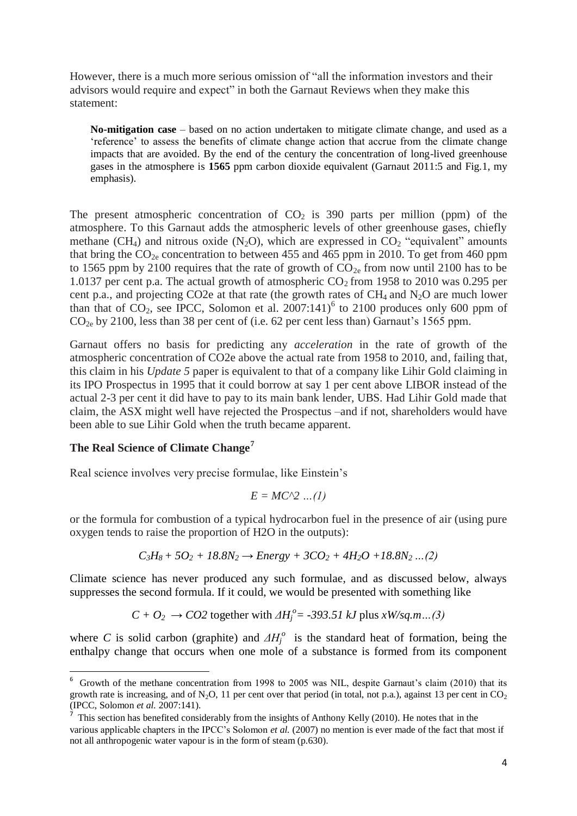However, there is a much more serious omission of "all the information investors and their advisors would require and expect" in both the Garnaut Reviews when they make this statement:

**No-mitigation case** – based on no action undertaken to mitigate climate change, and used as a "reference" to assess the benefits of climate change action that accrue from the climate change impacts that are avoided. By the end of the century the concentration of long-lived greenhouse gases in the atmosphere is **1565** ppm carbon dioxide equivalent (Garnaut 2011:5 and Fig.1, my emphasis).

The present atmospheric concentration of  $CO<sub>2</sub>$  is 390 parts per million (ppm) of the atmosphere. To this Garnaut adds the atmospheric levels of other greenhouse gases, chiefly methane (CH<sub>4</sub>) and nitrous oxide (N<sub>2</sub>O), which are expressed in CO<sub>2</sub> "equivalent" amounts that bring the  $CO_{2e}$  concentration to between 455 and 465 ppm in 2010. To get from 460 ppm to 1565 ppm by 2100 requires that the rate of growth of  $CO_{2e}$  from now until 2100 has to be 1.0137 per cent p.a. The actual growth of atmospheric  $CO_2$  from 1958 to 2010 was 0.295 per cent p.a., and projecting CO2e at that rate (the growth rates of  $CH_4$  and  $N_2O$  are much lower than that of  $CO_2$ , see IPCC, Solomon et al. 2007:141)<sup>6</sup> to 2100 produces only 600 ppm of  $CO<sub>2e</sub>$  by 2100, less than 38 per cent of (i.e. 62 per cent less than) Garnaut's 1565 ppm.

Garnaut offers no basis for predicting any *acceleration* in the rate of growth of the atmospheric concentration of CO2e above the actual rate from 1958 to 2010, and, failing that, this claim in his *Update 5* paper is equivalent to that of a company like Lihir Gold claiming in its IPO Prospectus in 1995 that it could borrow at say 1 per cent above LIBOR instead of the actual 2-3 per cent it did have to pay to its main bank lender, UBS. Had Lihir Gold made that claim, the ASX might well have rejected the Prospectus –and if not, shareholders would have been able to sue Lihir Gold when the truth became apparent.

### **The Real Science of Climate Change<sup>7</sup>**

.

Real science involves very precise formulae, like Einstein"s

$$
E = MC^2 \dots (1)
$$

or the formula for combustion of a typical hydrocarbon fuel in the presence of air (using pure oxygen tends to raise the proportion of H2O in the outputs):

$$
C_3H_8 + 5O_2 + 18.8N_2 \rightarrow Energy + 3CO_2 + 4H_2O + 18.8N_2...(2)
$$

Climate science has never produced any such formulae, and as discussed below, always suppresses the second formula. If it could, we would be presented with something like

$$
C + O_2 \rightarrow CO2
$$
 together with  $\Delta H_i^o = -393.51 \, kJ$  plus  $xW/sq.m...$  (3)

where *C* is solid carbon (graphite) and  $\Delta H_j^o$  is the standard heat of formation, being the enthalpy change that occurs when one mole of a substance is formed from its component

<sup>&</sup>lt;sup>6</sup> Growth of the methane concentration from 1998 to 2005 was NIL, despite Garnaut's claim (2010) that its growth rate is increasing, and of N<sub>2</sub>O, 11 per cent over that period (in total, not p.a.), against 13 per cent in  $CO_2$ (IPCC, Solomon *et al.* 2007:141).

 $<sup>7</sup>$  This section has benefited considerably from the insights of Anthony Kelly (2010). He notes that in the</sup> various applicable chapters in the IPCC"s Solomon *et al.* (2007) no mention is ever made of the fact that most if not all anthropogenic water vapour is in the form of steam (p.630).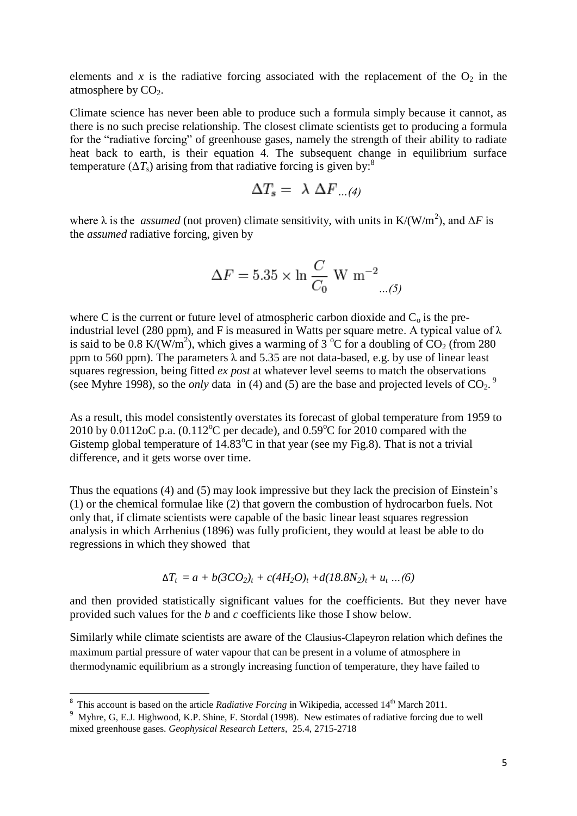elements and x is the radiative forcing associated with the replacement of the  $O_2$  in the atmosphere by  $CO<sub>2</sub>$ .

Climate science has never been able to produce such a formula simply because it cannot, as there is no such precise relationship. The closest climate scientists get to producing a formula for the "radiative forcing" of greenhouse gases, namely the strength of their ability to radiate heat back to earth, is their equation 4. The subsequent change in equilibrium surface temperature  $(\Delta T_s)$  arising from that radiative forcing is given by:<sup>8</sup>

$$
\Delta T_s = \lambda \Delta F_{\dots(4)}
$$

where  $\lambda$  is the *assumed* (not proven) climate sensitivity, with units in K/(W/m<sup>2</sup>), and  $\Delta F$  is the *assumed* radiative forcing, given by

$$
\Delta F = 5.35 \times \ln \frac{C}{C_0} \text{ W m}^{-2}
$$

where C is the current or future level of atmospheric carbon dioxide and  $C_0$  is the preindustrial level (280 ppm), and F is measured in Watts per square metre. A typical value of  $\lambda$ is said to be 0.8 K/( $\hat{W}/m^2$ ), which gives a warming of 3 °C for a doubling of CO<sub>2</sub> (from 280) ppm to 560 ppm). The parameters  $\lambda$  and 5.35 are not data-based, e.g. by use of linear least squares regression, being fitted *ex post* at whatever level seems to match the observations (see Myhre 1998), so the *only* data in (4) and (5) are the base and projected levels of  $CO_2$ .<sup>9</sup>

As a result, this model consistently overstates its forecast of global temperature from 1959 to 2010 by 0.0112oC p.a.  $(0.112^{\circ}C$  per decade), and 0.59<sup>o</sup>C for 2010 compared with the Gistemp global temperature of  $14.83^{\circ}$ C in that year (see my Fig.8). That is not a trivial difference, and it gets worse over time.

Thus the equations (4) and (5) may look impressive but they lack the precision of Einstein"s (1) or the chemical formulae like (2) that govern the combustion of hydrocarbon fuels. Not only that, if climate scientists were capable of the basic linear least squares regression analysis in which Arrhenius (1896) was fully proficient, they would at least be able to do regressions in which they showed that

$$
\Delta T_t = a + b(3CO_2)_t + c(4H_2O)_t + d(18.8N_2)_t + u_t ... (6)
$$

and then provided statistically significant values for the coefficients. But they never have provided such values for the *b* and *c* coefficients like those I show below.

Similarly while climate scientists are aware of the Clausius-Clapeyron relation which defines the maximum partial pressure of water vapour that can be present in a volume of atmosphere in thermodynamic equilibrium as a strongly increasing function of temperature, they have failed to

1

<sup>&</sup>lt;sup>8</sup> This account is based on the article *Radiative Forcing* in Wikipedia, accessed 14<sup>th</sup> March 2011.

<sup>&</sup>lt;sup>9</sup> Myhre, G, E.J. Highwood, K.P. Shine, F. Stordal (1998). New estimates of radiative forcing due to well mixed greenhouse gases. *Geophysical Research Letters*, 25.4, 2715-2718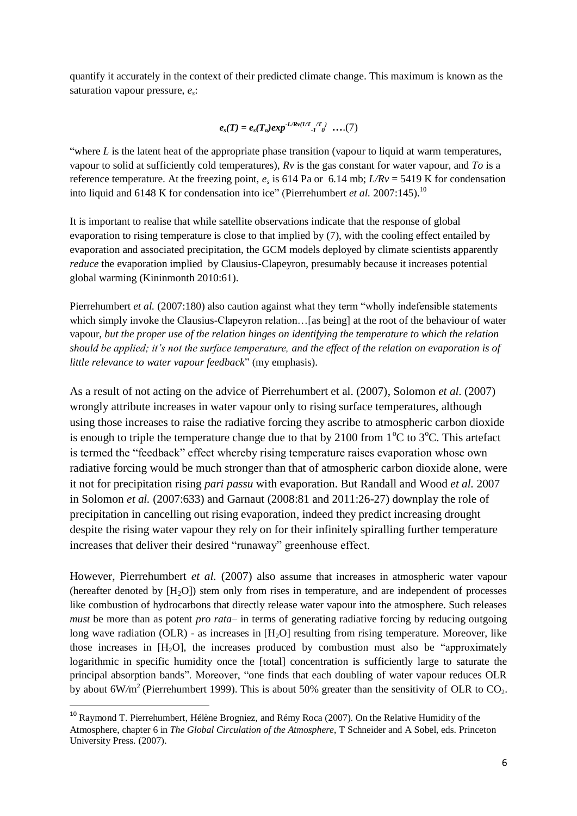quantify it accurately in the context of their predicted climate change. This maximum is known as the saturation vapour pressure, *e<sup>s</sup>* :

$$
e_s(T) = e_s(T_o) exp^{-L/Rv(1/T_{1T})}
$$
 ....(7)

"where *L* is the latent heat of the appropriate phase transition (vapour to liquid at warm temperatures, vapour to solid at sufficiently cold temperatures), *Rv* is the gas constant for water vapour, and *To* is a reference temperature. At the freezing point,  $e_s$  is 614 Pa or 6.14 mb;  $L/Rv = 5419$  K for condensation into liquid and 6148 K for condensation into ice" (Pierrehumbert *et al.* 2007:145).<sup>10</sup>

It is important to realise that while satellite observations indicate that the response of global evaporation to rising temperature is close to that implied by (7), with the cooling effect entailed by evaporation and associated precipitation, the GCM models deployed by climate scientists apparently *reduce* the evaporation implied by Clausius-Clapeyron, presumably because it increases potential global warming (Kininmonth 2010:61).

Pierrehumbert *et al.* (2007:180) also caution against what they term "wholly indefensible statements which simply invoke the Clausius-Clapeyron relation... [as being] at the root of the behaviour of water vapour, *but the proper use of the relation hinges on identifying the temperature to which the relation should be applied; it's not the surface temperature, and the effect of the relation on evaporation is of little relevance to water vapour feedback*" (my emphasis).

As a result of not acting on the advice of Pierrehumbert et al. (2007), Solomon *et al.* (2007) wrongly attribute increases in water vapour only to rising surface temperatures, although using those increases to raise the radiative forcing they ascribe to atmospheric carbon dioxide is enough to triple the temperature change due to that by 2100 from  $1^{\circ}C$  to  $3^{\circ}C$ . This artefact is termed the "feedback" effect whereby rising temperature raises evaporation whose own radiative forcing would be much stronger than that of atmospheric carbon dioxide alone, were it not for precipitation rising *pari passu* with evaporation. But Randall and Wood *et al.* 2007 in Solomon *et al.* (2007:633) and Garnaut (2008:81 and 2011:26-27) downplay the role of precipitation in cancelling out rising evaporation, indeed they predict increasing drought despite the rising water vapour they rely on for their infinitely spiralling further temperature increases that deliver their desired "runaway" greenhouse effect.

However, Pierrehumbert *et al.* (2007) also assume that increases in atmospheric water vapour (hereafter denoted by  $[H<sub>2</sub>O]$ ) stem only from rises in temperature, and are independent of processes like combustion of hydrocarbons that directly release water vapour into the atmosphere. Such releases *must* be more than as potent *pro rata*– in terms of generating radiative forcing by reducing outgoing long wave radiation (OLR) - as increases in  $[H<sub>2</sub>O]$  resulting from rising temperature. Moreover, like those increases in  $[H<sub>2</sub>O]$ , the increases produced by combustion must also be "approximately" logarithmic in specific humidity once the [total] concentration is sufficiently large to saturate the principal absorption bands". Moreover, "one finds that each doubling of water vapour reduces OLR by about  $6W/m^2$  (Pierrehumbert 1999). This is about 50% greater than the sensitivity of OLR to CO<sub>2</sub>.

1

<sup>&</sup>lt;sup>10</sup> Raymond T. Pierrehumbert, Hélène Brogniez, and Rémy Roca (2007). On the Relative Humidity of the Atmosphere, chapter 6 in *The Global Circulation of the Atmosphere*, T Schneider and A Sobel, eds. Princeton University Press. (2007).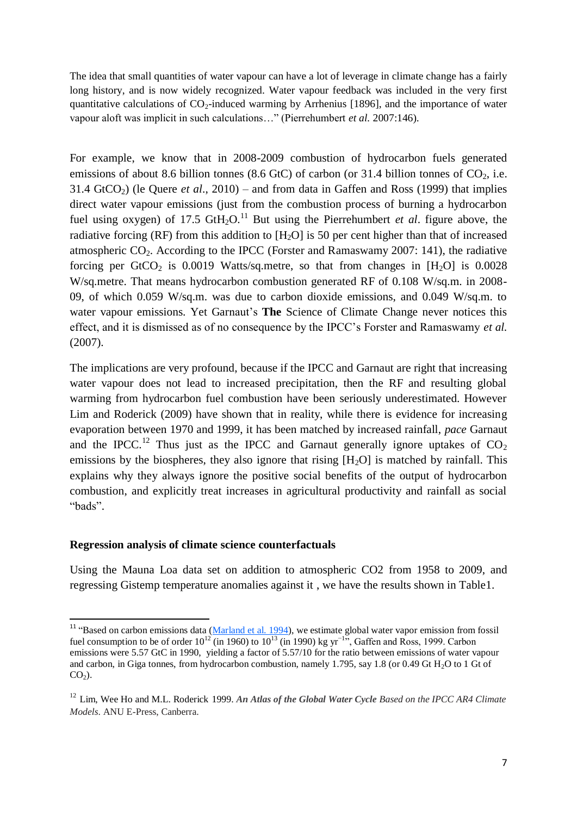The idea that small quantities of water vapour can have a lot of leverage in climate change has a fairly long history, and is now widely recognized. Water vapour feedback was included in the very first quantitative calculations of  $CO_2$ -induced warming by Arrhenius [1896], and the importance of water vapour aloft was implicit in such calculations…" (Pierrehumbert *et al.* 2007:146).

For example, we know that in 2008-2009 combustion of hydrocarbon fuels generated emissions of about 8.6 billion tonnes (8.6 GtC) of carbon (or 31.4 billion tonnes of  $CO_2$ , i.e. 31.4 GtCO<sub>2</sub>) (le Quere *et al.*, 2010) – and from data in Gaffen and Ross (1999) that implies direct water vapour emissions (just from the combustion process of burning a hydrocarbon fuel using oxygen) of 17.5  $\text{GtH}_2\text{O}$ .<sup>11</sup> But using the Pierrehumbert *et al*. figure above, the radiative forcing (RF) from this addition to  $[H_2O]$  is 50 per cent higher than that of increased atmospheric  $CO<sub>2</sub>$ . According to the IPCC (Forster and Ramaswamy 2007: 141), the radiative forcing per GtCO<sub>2</sub> is 0.0019 Watts/sq.metre, so that from changes in  $[H_2O]$  is 0.0028 W/sq.metre. That means hydrocarbon combustion generated RF of 0.108 W/sq.m. in 2008-09, of which 0.059 W/sq.m. was due to carbon dioxide emissions, and 0.049 W/sq.m. to water vapour emissions. Yet Garnaut's The Science of Climate Change never notices this effect, and it is dismissed as of no consequence by the IPCC"s Forster and Ramaswamy *et al.* (2007).

The implications are very profound, because if the IPCC and Garnaut are right that increasing water vapour does not lead to increased precipitation, then the RF and resulting global warming from hydrocarbon fuel combustion have been seriously underestimated. However Lim and Roderick (2009) have shown that in reality, while there is evidence for increasing evaporation between 1970 and 1999, it has been matched by increased rainfall, *pace* Garnaut and the IPCC.<sup>12</sup> Thus just as the IPCC and Garnaut generally ignore uptakes of  $CO<sub>2</sub>$ emissions by the biospheres, they also ignore that rising  $[H<sub>2</sub>O]$  is matched by rainfall. This explains why they always ignore the positive social benefits of the output of hydrocarbon combustion, and explicitly treat increases in agricultural productivity and rainfall as social "bads".

#### **Regression analysis of climate science counterfactuals**

1

Using the Mauna Loa data set on addition to atmospheric CO2 from 1958 to 2009, and regressing Gistemp temperature anomalies against it , we have the results shown in Table1.

<sup>&</sup>lt;sup>11</sup> "Based on carbon emissions data [\(Marland et al. 1994\)](javascript:popRef2(), we estimate global water vapor emission from fossil fuel consumption to be of order  $10^{12}$  (in 1960) to  $10^{13}$  (in 1990) kg yr<sup>−155</sup>, Gaffen and Ross, 1999. Carbon emissions were 5.57 GtC in 1990, yielding a factor of 5.57/10 for the ratio between emissions of water vapour and carbon, in Giga tonnes, from hydrocarbon combustion, namely 1.795, say 1.8 (or 0.49 Gt H<sub>2</sub>O to 1 Gt of  $CO<sub>2</sub>$ ).

<sup>12</sup> Lim, Wee Ho and M.L. Roderick 1999. *An Atlas of the Global Water Cycle Based on the IPCC AR4 Climate Models*. ANU E-Press, Canberra.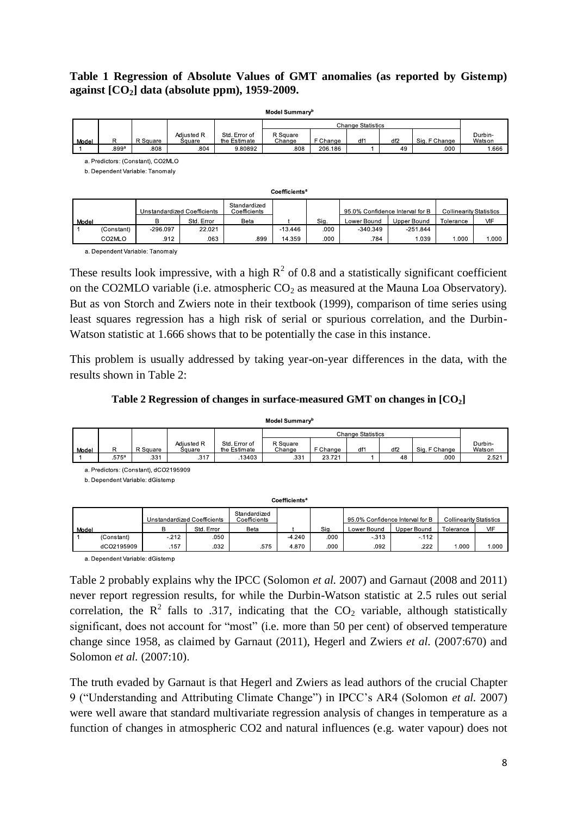### **Table 1 Regression of Absolute Values of GMT anomalies (as reported by Gistemp) against [CO2] data (absolute ppm), 1959-2009.**

| Model Summary <sup>b</sup> |       |          |                      |                               |                    |          |     |                 |               |                   |
|----------------------------|-------|----------|----------------------|-------------------------------|--------------------|----------|-----|-----------------|---------------|-------------------|
|                            |       |          |                      |                               |                    |          |     |                 |               |                   |
| Model                      | R     | R Square | Adiusted R<br>Square | Std. Error of<br>the Estimate | R Square<br>Change | F Change | df1 | df <sub>2</sub> | Sig. F Change | Durbin-<br>Watson |
|                            | .899a | .808     | .804                 | 9.80892                       | .808               | 206.186  |     | 49              | .000          | 1.666             |

a. Predictors: (Constant). CO2MLO

b. Dependent Variable: Tanomaly

| Coefficientsª |                             |            |            |                              |           |      |                                 |             |                                |       |
|---------------|-----------------------------|------------|------------|------------------------------|-----------|------|---------------------------------|-------------|--------------------------------|-------|
|               | Unstandardized Coefficients |            |            | Standardized<br>Coefficients |           |      | 95.0% Confidence Interval for B |             | <b>Collinearity Statistics</b> |       |
| Model         |                             | B          | Std. Error | Beta                         |           | Sig. | Lower Bound                     | Upper Bound | Tolerance                      | VIF   |
|               | (Constant)                  | $-296.097$ | 22.021     |                              | $-13.446$ | .000 | $-340.349$                      | $-251.844$  |                                |       |
|               | CO2MLO                      | .912       | .063       | .899                         | 14.359    | .000 | .784                            | 1.039       | 1.000                          | 1.000 |

a. Dependent Variable: Tanomaly

These results look impressive, with a high  $R^2$  of 0.8 and a statistically significant coefficient on the CO2MLO variable (i.e. atmospheric  $CO<sub>2</sub>$  as measured at the Mauna Loa Observatory). But as von Storch and Zwiers note in their textbook (1999), comparison of time series using least squares regression has a high risk of serial or spurious correlation, and the Durbin-Watson statistic at 1.666 shows that to be potentially the case in this instance.

This problem is usually addressed by taking year-on-year differences in the data, with the results shown in Table 2:

#### **Table 2 Regression of changes in surface-measured GMT on changes in [CO2]**

 $11.11$ 

| wodel summary |                   |          |                      |                               |                    |          |                 |     |               |                   |
|---------------|-------------------|----------|----------------------|-------------------------------|--------------------|----------|-----------------|-----|---------------|-------------------|
|               |                   |          |                      |                               |                    |          |                 |     |               |                   |
| Model         |                   | R Square | Adiusted R<br>Square | Std. Error of<br>the Estimate | R Square<br>Change | F Change | df <sup>1</sup> | df2 | Sig. F Change | Durbin-<br>Watson |
|               | .575 <sup>a</sup> | .331     | .317                 | 13403                         | .331               | 23.721   |                 | 48  | .000          | 2.521             |

a. Predictors: (Constant), dCO2195909

b. Dependent Variable: dGistemp

| Coefficients <sup>a</sup>   |            |                              |            |      |                                 |      |                                |             |           |       |
|-----------------------------|------------|------------------------------|------------|------|---------------------------------|------|--------------------------------|-------------|-----------|-------|
| Unstandardized Coefficients |            | Standardized<br>Coefficients |            |      | 95.0% Confidence Interval for B |      | <b>Collinearity Statistics</b> |             |           |       |
| Model                       |            |                              | Std. Error | Beta |                                 | Sig. | Lower Bound                    | Upper Bound | Tolerance | VIF   |
|                             | (Constant) | $-212$                       | .050       |      | $-4.240$                        | .000 | $-313$                         | $-.112$     |           |       |
|                             | dCO2195909 | .157                         | .032       | .575 | 4.870                           | .000 | .092                           | .222        | 000.1     | 1.000 |

a. Dependent Variable: dGistemp

Table 2 probably explains why the IPCC (Solomon *et al.* 2007) and Garnaut (2008 and 2011) never report regression results, for while the Durbin-Watson statistic at 2.5 rules out serial correlation, the  $R^2$  falls to .317, indicating that the  $CO_2$  variable, although statistically significant, does not account for "most" (i.e. more than 50 per cent) of observed temperature change since 1958, as claimed by Garnaut (2011), Hegerl and Zwiers *et al.* (2007:670) and Solomon *et al.* (2007:10).

The truth evaded by Garnaut is that Hegerl and Zwiers as lead authors of the crucial Chapter 9 ("Understanding and Attributing Climate Change") in IPCC"s AR4 (Solomon *et al.* 2007) were well aware that standard multivariate regression analysis of changes in temperature as a function of changes in atmospheric CO2 and natural influences (e.g. water vapour) does not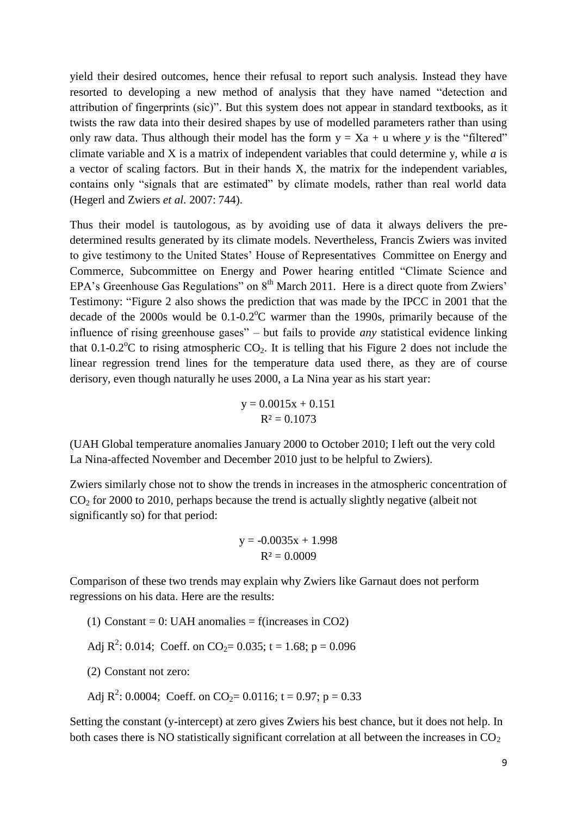yield their desired outcomes, hence their refusal to report such analysis. Instead they have resorted to developing a new method of analysis that they have named "detection and attribution of fingerprints (sic)". But this system does not appear in standard textbooks, as it twists the raw data into their desired shapes by use of modelled parameters rather than using only raw data. Thus although their model has the form  $y = Xa + u$  where *y* is the "filtered" climate variable and X is a matrix of independent variables that could determine y, while *a* is a vector of scaling factors. But in their hands X, the matrix for the independent variables, contains only "signals that are estimated" by climate models, rather than real world data (Hegerl and Zwiers *et al.* 2007: 744).

Thus their model is tautologous, as by avoiding use of data it always delivers the predetermined results generated by its climate models. Nevertheless, Francis Zwiers was invited to give testimony to the United States" House of Representatives Committee on Energy and Commerce, Subcommittee on Energy and Power hearing entitled "Climate Science and EPA's Greenhouse Gas Regulations" on  $8<sup>th</sup>$  March 2011. Here is a direct quote from Zwiers' Testimony: "Figure 2 also shows the prediction that was made by the IPCC in 2001 that the decade of the  $2000s$  would be  $0.1$ - $0.2^{\circ}$ C warmer than the 1990s, primarily because of the influence of rising greenhouse gases" – but fails to provide *any* statistical evidence linking that  $0.1$ - $0.2^{\circ}$ C to rising atmospheric CO<sub>2</sub>. It is telling that his Figure 2 does not include the linear regression trend lines for the temperature data used there, as they are of course derisory, even though naturally he uses 2000, a La Nina year as his start year:

$$
y = 0.0015x + 0.151
$$

$$
R^2 = 0.1073
$$

(UAH Global temperature anomalies January 2000 to October 2010; I left out the very cold La Nina-affected November and December 2010 just to be helpful to Zwiers).

Zwiers similarly chose not to show the trends in increases in the atmospheric concentration of  $CO<sub>2</sub>$  for 2000 to 2010, perhaps because the trend is actually slightly negative (albeit not significantly so) for that period:

$$
y = -0.0035x + 1.998
$$

$$
R^2 = 0.0009
$$

Comparison of these two trends may explain why Zwiers like Garnaut does not perform regressions on his data. Here are the results:

- (1) Constant = 0: UAH anomalies = f(increases in CO2)
- Adj  $R^2$ : 0.014; Coeff. on CO<sub>2</sub> = 0.035; t = 1.68; p = 0.096
- (2) Constant not zero:
- Adj  $R^2$ : 0.0004; Coeff. on CO<sub>2</sub>= 0.0116; t = 0.97; p = 0.33

Setting the constant (y-intercept) at zero gives Zwiers his best chance, but it does not help. In both cases there is NO statistically significant correlation at all between the increases in  $CO<sub>2</sub>$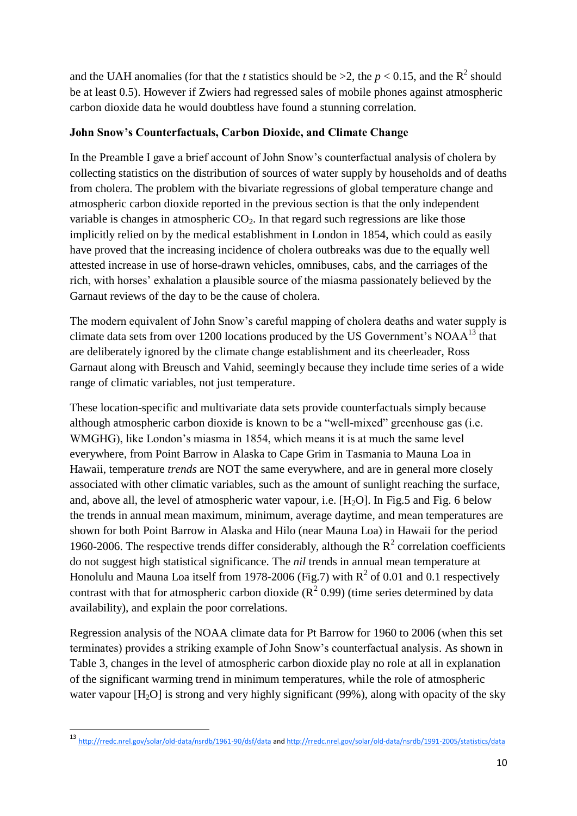and the UAH anomalies (for that the *t* statistics should be  $>2$ , the  $p < 0.15$ , and the R<sup>2</sup> should be at least 0.5). However if Zwiers had regressed sales of mobile phones against atmospheric carbon dioxide data he would doubtless have found a stunning correlation.

### **John Snow's Counterfactuals, Carbon Dioxide, and Climate Change**

In the Preamble I gave a brief account of John Snow"s counterfactual analysis of cholera by collecting statistics on the distribution of sources of water supply by households and of deaths from cholera. The problem with the bivariate regressions of global temperature change and atmospheric carbon dioxide reported in the previous section is that the only independent variable is changes in atmospheric  $CO<sub>2</sub>$ . In that regard such regressions are like those implicitly relied on by the medical establishment in London in 1854, which could as easily have proved that the increasing incidence of cholera outbreaks was due to the equally well attested increase in use of horse-drawn vehicles, omnibuses, cabs, and the carriages of the rich, with horses" exhalation a plausible source of the miasma passionately believed by the Garnaut reviews of the day to be the cause of cholera.

The modern equivalent of John Snow"s careful mapping of cholera deaths and water supply is climate data sets from over 1200 locations produced by the US Government's  $NOAA^{13}$  that are deliberately ignored by the climate change establishment and its cheerleader, Ross Garnaut along with Breusch and Vahid, seemingly because they include time series of a wide range of climatic variables, not just temperature.

These location-specific and multivariate data sets provide counterfactuals simply because although atmospheric carbon dioxide is known to be a "well-mixed" greenhouse gas (i.e. WMGHG), like London"s miasma in 1854, which means it is at much the same level everywhere, from Point Barrow in Alaska to Cape Grim in Tasmania to Mauna Loa in Hawaii, temperature *trends* are NOT the same everywhere, and are in general more closely associated with other climatic variables, such as the amount of sunlight reaching the surface, and, above all, the level of atmospheric water vapour, i.e.  $[H_2O]$ . In Fig. 5 and Fig. 6 below the trends in annual mean maximum, minimum, average daytime, and mean temperatures are shown for both Point Barrow in Alaska and Hilo (near Mauna Loa) in Hawaii for the period 1960-2006. The respective trends differ considerably, although the  $R^2$  correlation coefficients do not suggest high statistical significance. The *nil* trends in annual mean temperature at Honolulu and Mauna Loa itself from 1978-2006 (Fig.7) with  $R^2$  of 0.01 and 0.1 respectively contrast with that for atmospheric carbon dioxide  $(R^2 0.99)$  (time series determined by data availability), and explain the poor correlations.

Regression analysis of the NOAA climate data for Pt Barrow for 1960 to 2006 (when this set terminates) provides a striking example of John Snow"s counterfactual analysis. As shown in Table 3, changes in the level of atmospheric carbon dioxide play no role at all in explanation of the significant warming trend in minimum temperatures, while the role of atmospheric water vapour  $[H_2O]$  is strong and very highly significant (99%), along with opacity of the sky

1

<sup>13</sup> <http://rredc.nrel.gov/solar/old-data/nsrdb/1961-90/dsf/data> an[d http://rredc.nrel.gov/solar/old-data/nsrdb/1991-2005/statistics/data](http://rredc.nrel.gov/solar/old-data/nsrdb/1991-2005/statistics/data)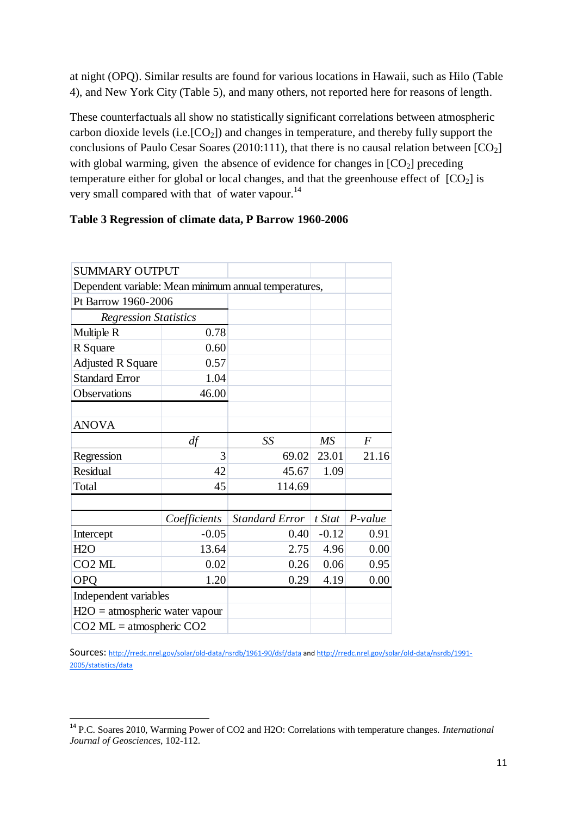at night (OPQ). Similar results are found for various locations in Hawaii, such as Hilo (Table 4), and New York City (Table 5), and many others, not reported here for reasons of length.

These counterfactuals all show no statistically significant correlations between atmospheric carbon dioxide levels (i.e. $[CO_2]$ ) and changes in temperature, and thereby fully support the conclusions of Paulo Cesar Soares (2010:111), that there is no causal relation between  $[CO_2]$ with global warming, given the absence of evidence for changes in  $[CO<sub>2</sub>]$  preceding temperature either for global or local changes, and that the greenhouse effect of  $[CO_2]$  is very small compared with that of water vapour.<sup>14</sup>

### **Table 3 Regression of climate data, P Barrow 1960-2006**

| <b>SUMMARY OUTPUT</b>                                 |              |                       |           |                |
|-------------------------------------------------------|--------------|-----------------------|-----------|----------------|
| Dependent variable: Mean minimum annual temperatures, |              |                       |           |                |
| Pt Barrow 1960-2006                                   |              |                       |           |                |
| <b>Regression Statistics</b>                          |              |                       |           |                |
| Multiple R                                            | 0.78         |                       |           |                |
| R Square                                              | 0.60         |                       |           |                |
| <b>Adjusted R Square</b>                              | 0.57         |                       |           |                |
| <b>Standard Error</b>                                 | 1.04         |                       |           |                |
| Observations                                          | 46.00        |                       |           |                |
|                                                       |              |                       |           |                |
| <b>ANOVA</b>                                          |              |                       |           |                |
|                                                       | df           | SS                    | <b>MS</b> | $\overline{F}$ |
| Regression                                            | 3            | 69.02                 | 23.01     | 21.16          |
| <b>Residual</b>                                       | 42           | 45.67                 | 1.09      |                |
| Total                                                 | 45           | 114.69                |           |                |
|                                                       |              |                       |           |                |
|                                                       | Coefficients | <b>Standard Error</b> | t Stat    | $P-value$      |
| Intercept                                             | $-0.05$      | 0.40                  | $-0.12$   | 0.91           |
| H2O                                                   | 13.64        | 2.75                  | 4.96      | 0.00           |
| CO <sub>2</sub> ML                                    | 0.02         | 0.26                  | 0.06      | 0.95           |
| <b>OPQ</b>                                            | 1.20         | 0.29                  | 4.19      | 0.00           |
| Independent variables                                 |              |                       |           |                |
| $H2O =$ atmospheric water vapour                      |              |                       |           |                |
| $CO2$ ML = atmospheric $CO2$                          |              |                       |           |                |

Sources: <http://rredc.nrel.gov/solar/old-data/nsrdb/1961-90/dsf/data> an[d http://rredc.nrel.gov/solar/old-data/nsrdb/1991-](http://rredc.nrel.gov/solar/old-data/nsrdb/1991-2005/statistics/data) [2005/statistics/data](http://rredc.nrel.gov/solar/old-data/nsrdb/1991-2005/statistics/data)

.

<sup>14</sup> P.C. Soares 2010, Warming Power of CO2 and H2O: Correlations with temperature changes. *International Journal of Geosciences*, 102-112.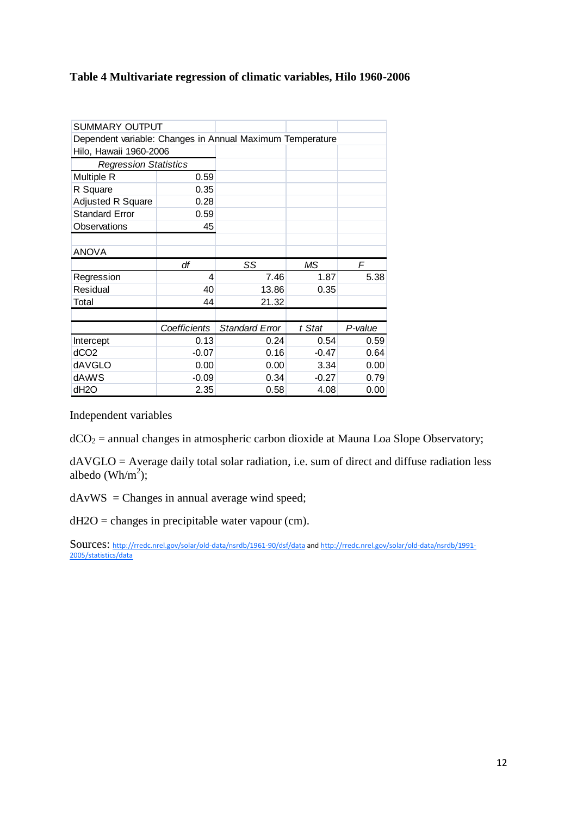### **Table 4 Multivariate regression of climatic variables, Hilo 1960-2006**

| <b>SUMMARY OUTPUT</b>                                     |              |                       |         |         |
|-----------------------------------------------------------|--------------|-----------------------|---------|---------|
| Dependent variable: Changes in Annual Maximum Temperature |              |                       |         |         |
| Hilo, Hawaii 1960-2006                                    |              |                       |         |         |
| <b>Regression Statistics</b>                              |              |                       |         |         |
| Multiple R                                                | 0.59         |                       |         |         |
| R Square                                                  | 0.35         |                       |         |         |
| Adjusted R Square                                         | 0.28         |                       |         |         |
| <b>Standard Error</b>                                     | 0.59         |                       |         |         |
| Observations                                              | 45           |                       |         |         |
|                                                           |              |                       |         |         |
| <b>ANOVA</b>                                              |              |                       |         |         |
|                                                           |              |                       |         |         |
|                                                           | df           | SS                    | ΜS      | F       |
| Regression                                                | 4            | 7.46                  | 1.87    | 5.38    |
| Residual                                                  | 40           | 13.86                 | 0.35    |         |
| Total                                                     | 44           | 21.32                 |         |         |
|                                                           |              |                       |         |         |
|                                                           | Coefficients | <b>Standard Error</b> | t Stat  | P-value |
| Intercept                                                 | 0.13         | 0.24                  | 0.54    | 0.59    |
| dCO2                                                      | $-0.07$      | 0.16                  | $-0.47$ | 0.64    |
| dAVGLO                                                    | 0.00         | 0.00                  | 3.34    | 0.00    |
| dAwVS                                                     | $-0.09$      | 0.34                  | $-0.27$ | 0.79    |

Independent variables

 $dCO<sub>2</sub>$  = annual changes in atmospheric carbon dioxide at Mauna Loa Slope Observatory;

dAVGLO = Average daily total solar radiation, i.e. sum of direct and diffuse radiation less albedo (Wh/ $m^2$ );

dAvWS = Changes in annual average wind speed;

dH2O = changes in precipitable water vapour (cm).

Sources: <http://rredc.nrel.gov/solar/old-data/nsrdb/1961-90/dsf/data> an[d http://rredc.nrel.gov/solar/old-data/nsrdb/1991-](http://rredc.nrel.gov/solar/old-data/nsrdb/1991-2005/statistics/data) [2005/statistics/data](http://rredc.nrel.gov/solar/old-data/nsrdb/1991-2005/statistics/data)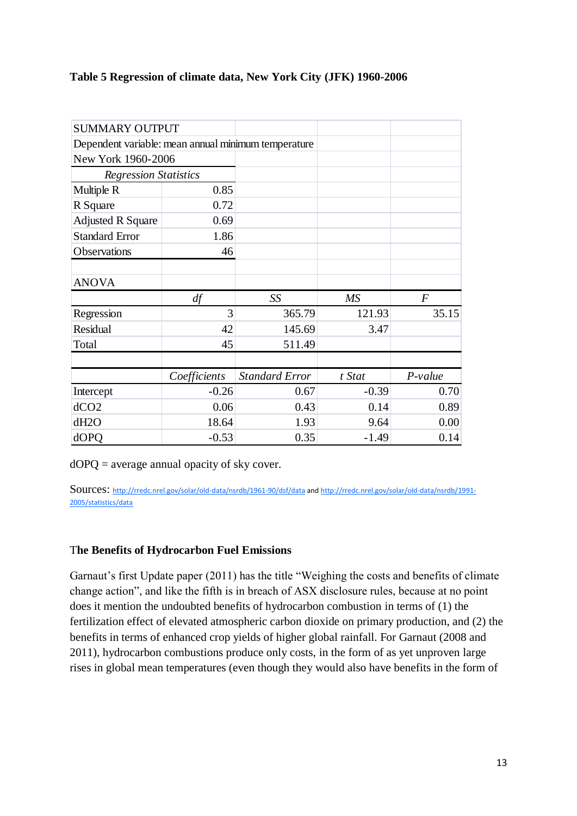### **Table 5 Regression of climate data, New York City (JFK) 1960-2006**

| <b>SUMMARY OUTPUT</b>                               |              |                       |           |           |
|-----------------------------------------------------|--------------|-----------------------|-----------|-----------|
| Dependent variable: mean annual minimum temperature |              |                       |           |           |
| New York 1960-2006                                  |              |                       |           |           |
| <b>Regression Statistics</b>                        |              |                       |           |           |
| Multiple R                                          | 0.85         |                       |           |           |
| R Square                                            | 0.72         |                       |           |           |
| <b>Adjusted R Square</b>                            | 0.69         |                       |           |           |
| <b>Standard Error</b>                               | 1.86         |                       |           |           |
| Observations                                        | 46           |                       |           |           |
|                                                     |              |                       |           |           |
| <b>ANOVA</b>                                        |              |                       |           |           |
|                                                     | df           | SS                    | <b>MS</b> | $\bm{F}$  |
| Regression                                          | 3            | 365.79                | 121.93    | 35.15     |
| Residual                                            | 42           | 145.69                | 3.47      |           |
| Total                                               | 45           | 511.49                |           |           |
|                                                     |              |                       |           |           |
|                                                     | Coefficients | <b>Standard Error</b> | t Stat    | $P-value$ |
| Intercept                                           | $-0.26$      | 0.67                  | $-0.39$   | 0.70      |
| dCO2                                                | 0.06         | 0.43                  | 0.14      | 0.89      |
| dH <sub>2</sub> O                                   | 18.64        | 1.93                  | 9.64      | 0.00      |
| dOPQ                                                | $-0.53$      | 0.35                  | $-1.49$   | 0.14      |

 $dOPQ =$  average annual opacity of sky cover.

Sources: <http://rredc.nrel.gov/solar/old-data/nsrdb/1961-90/dsf/data> an[d http://rredc.nrel.gov/solar/old-data/nsrdb/1991-](http://rredc.nrel.gov/solar/old-data/nsrdb/1991-2005/statistics/data) [2005/statistics/data](http://rredc.nrel.gov/solar/old-data/nsrdb/1991-2005/statistics/data)

### T**he Benefits of Hydrocarbon Fuel Emissions**

Garnaut's first Update paper (2011) has the title "Weighing the costs and benefits of climate change action", and like the fifth is in breach of ASX disclosure rules, because at no point does it mention the undoubted benefits of hydrocarbon combustion in terms of (1) the fertilization effect of elevated atmospheric carbon dioxide on primary production, and (2) the benefits in terms of enhanced crop yields of higher global rainfall. For Garnaut (2008 and 2011), hydrocarbon combustions produce only costs, in the form of as yet unproven large rises in global mean temperatures (even though they would also have benefits in the form of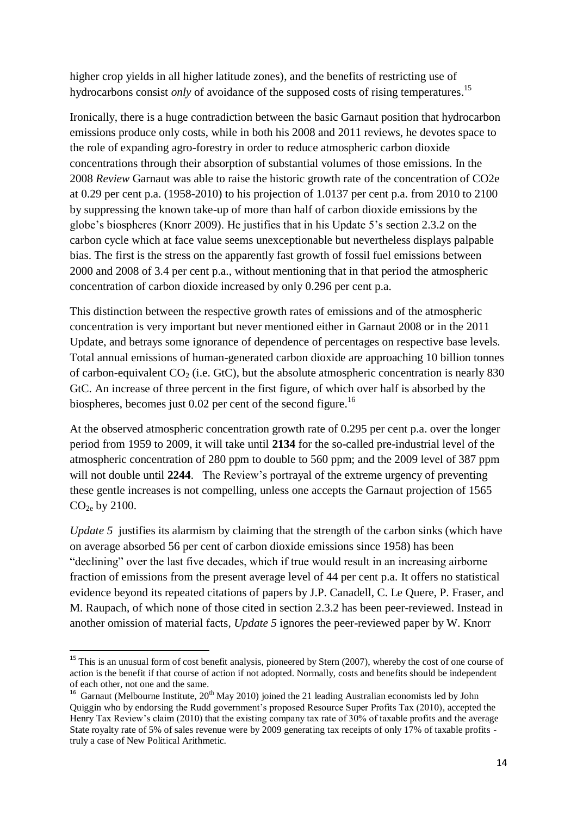higher crop yields in all higher latitude zones), and the benefits of restricting use of hydrocarbons consist *only* of avoidance of the supposed costs of rising temperatures.<sup>15</sup>

Ironically, there is a huge contradiction between the basic Garnaut position that hydrocarbon emissions produce only costs, while in both his 2008 and 2011 reviews, he devotes space to the role of expanding agro-forestry in order to reduce atmospheric carbon dioxide concentrations through their absorption of substantial volumes of those emissions. In the 2008 *Review* Garnaut was able to raise the historic growth rate of the concentration of CO2e at 0.29 per cent p.a. (1958-2010) to his projection of 1.0137 per cent p.a. from 2010 to 2100 by suppressing the known take-up of more than half of carbon dioxide emissions by the globe"s biospheres (Knorr 2009). He justifies that in his Update 5"s section 2.3.2 on the carbon cycle which at face value seems unexceptionable but nevertheless displays palpable bias. The first is the stress on the apparently fast growth of fossil fuel emissions between 2000 and 2008 of 3.4 per cent p.a., without mentioning that in that period the atmospheric concentration of carbon dioxide increased by only 0.296 per cent p.a.

This distinction between the respective growth rates of emissions and of the atmospheric concentration is very important but never mentioned either in Garnaut 2008 or in the 2011 Update, and betrays some ignorance of dependence of percentages on respective base levels. Total annual emissions of human-generated carbon dioxide are approaching 10 billion tonnes of carbon-equivalent  $CO<sub>2</sub>$  (i.e. GtC), but the absolute atmospheric concentration is nearly 830 GtC. An increase of three percent in the first figure, of which over half is absorbed by the biospheres, becomes just  $0.02$  per cent of the second figure.<sup>16</sup>

At the observed atmospheric concentration growth rate of 0.295 per cent p.a. over the longer period from 1959 to 2009, it will take until **2134** for the so-called pre-industrial level of the atmospheric concentration of 280 ppm to double to 560 ppm; and the 2009 level of 387 ppm will not double until 2244. The Review's portrayal of the extreme urgency of preventing these gentle increases is not compelling, unless one accepts the Garnaut projection of 1565  $CO<sub>2e</sub>$  by 2100.

*Update* 5 justifies its alarmism by claiming that the strength of the carbon sinks (which have on average absorbed 56 per cent of carbon dioxide emissions since 1958) has been "declining" over the last five decades, which if true would result in an increasing airborne fraction of emissions from the present average level of 44 per cent p.a. It offers no statistical evidence beyond its repeated citations of papers by J.P. Canadell, C. Le Quere, P. Fraser, and M. Raupach, of which none of those cited in section 2.3.2 has been peer-reviewed. Instead in another omission of material facts, *Update 5* ignores the peer-reviewed paper by W. Knorr

<sup>1</sup>  $15$  This is an unusual form of cost benefit analysis, pioneered by Stern (2007), whereby the cost of one course of action is the benefit if that course of action if not adopted. Normally, costs and benefits should be independent of each other, not one and the same.

<sup>&</sup>lt;sup>16</sup> Garnaut (Melbourne Institute,  $20^{th}$  May 2010) joined the 21 leading Australian economists led by John Quiggin who by endorsing the Rudd government's proposed Resource Super Profits Tax (2010), accepted the Henry Tax Review"s claim (2010) that the existing company tax rate of 30% of taxable profits and the average State royalty rate of 5% of sales revenue were by 2009 generating tax receipts of only 17% of taxable profits truly a case of New Political Arithmetic.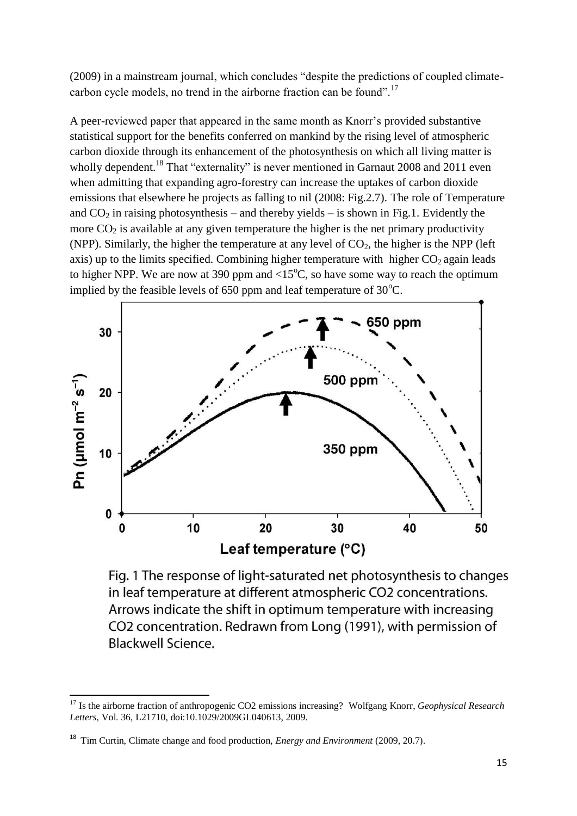(2009) in a mainstream journal, which concludes "despite the predictions of coupled climatecarbon cycle models, no trend in the airborne fraction can be found".<sup>17</sup>

A peer-reviewed paper that appeared in the same month as Knorr"s provided substantive statistical support for the benefits conferred on mankind by the rising level of atmospheric carbon dioxide through its enhancement of the photosynthesis on which all living matter is wholly dependent.<sup>18</sup> That "externality" is never mentioned in Garnaut 2008 and 2011 even when admitting that expanding agro-forestry can increase the uptakes of carbon dioxide emissions that elsewhere he projects as falling to nil (2008: Fig.2.7). The role of Temperature and  $CO<sub>2</sub>$  in raising photosynthesis – and thereby yields – is shown in Fig.1. Evidently the more  $CO<sub>2</sub>$  is available at any given temperature the higher is the net primary productivity (NPP). Similarly, the higher the temperature at any level of  $CO<sub>2</sub>$ , the higher is the NPP (left axis) up to the limits specified. Combining higher temperature with higher  $CO<sub>2</sub>$  again leads to higher NPP. We are now at 390 ppm and  $\langle 15^{\circ}$ C, so have some way to reach the optimum implied by the feasible levels of 650 ppm and leaf temperature of  $30^{\circ}$ C.



Fig. 1 The response of light-saturated net photosynthesis to changes in leaf temperature at different atmospheric CO2 concentrations. Arrows indicate the shift in optimum temperature with increasing CO2 concentration. Redrawn from Long (1991), with permission of **Blackwell Science.** 

<sup>1</sup> <sup>17</sup> Is the airborne fraction of anthropogenic CO2 emissions increasing? Wolfgang Knorr, *Geophysical Research Letters*, Vol. 36, L21710, doi:10.1029/2009GL040613, 2009.

<sup>18</sup> Tim Curtin, Climate change and food production, *Energy and Environment* (2009, 20.7).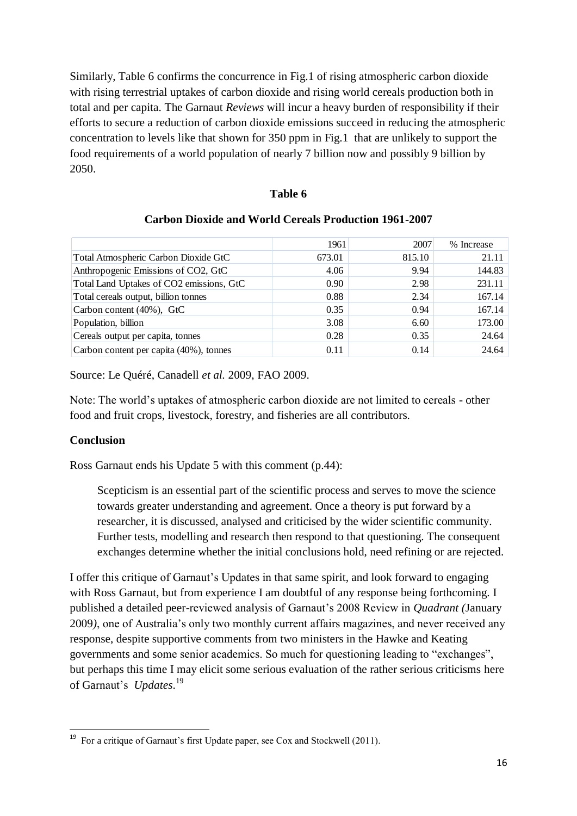Similarly, Table 6 confirms the concurrence in Fig.1 of rising atmospheric carbon dioxide with rising terrestrial uptakes of carbon dioxide and rising world cereals production both in total and per capita. The Garnaut *Reviews* will incur a heavy burden of responsibility if their efforts to secure a reduction of carbon dioxide emissions succeed in reducing the atmospheric concentration to levels like that shown for 350 ppm in Fig.1 that are unlikely to support the food requirements of a world population of nearly 7 billion now and possibly 9 billion by 2050.

### **Table 6**

|                                          | 1961              | 2007   | % Increase |
|------------------------------------------|-------------------|--------|------------|
| Total Atmospheric Carbon Dioxide GtC     | 673.01            | 815.10 | 21.11      |
| Anthropogenic Emissions of CO2, GtC      | 4.06              | 9.94   | 144.83     |
| Total Land Uptakes of CO2 emissions, GtC | 0.90 <sub>1</sub> | 2.98   | 231.11     |
| Total cereals output, billion tonnes     | 0.88              | 2.34   | 167.14     |
| Carbon content (40%), GtC                | 0.35              | 0.94   | 167.14     |
| Population, billion                      | 3.08              | 6.60   | 173.00     |
| Cereals output per capita, tonnes        | 0.28              | 0.35   | 24.64      |
| Carbon content per capita (40%), tonnes  | 0.11              | 0.14   | 24.64      |

## **Carbon Dioxide and World Cereals Production 1961-2007**

Source: Le Quéré, Canadell *et al.* 2009, FAO 2009.

Note: The world"s uptakes of atmospheric carbon dioxide are not limited to cereals - other food and fruit crops, livestock, forestry, and fisheries are all contributors.

### **Conclusion**

Ross Garnaut ends his Update 5 with this comment (p.44):

Scepticism is an essential part of the scientific process and serves to move the science towards greater understanding and agreement. Once a theory is put forward by a researcher, it is discussed, analysed and criticised by the wider scientific community. Further tests, modelling and research then respond to that questioning. The consequent exchanges determine whether the initial conclusions hold, need refining or are rejected.

I offer this critique of Garnaut"s Updates in that same spirit, and look forward to engaging with Ross Garnaut, but from experience I am doubtful of any response being forthcoming. I published a detailed peer-reviewed analysis of Garnaut"s 2008 Review in *Quadrant (*January 2009*)*, one of Australia"s only two monthly current affairs magazines, and never received any response, despite supportive comments from two ministers in the Hawke and Keating governments and some senior academics. So much for questioning leading to "exchanges", but perhaps this time I may elicit some serious evaluation of the rather serious criticisms here of Garnaut's *Updates*.<sup>19</sup>

<sup>1</sup> <sup>19</sup> For a critique of Garnaut's first Update paper, see Cox and Stockwell (2011).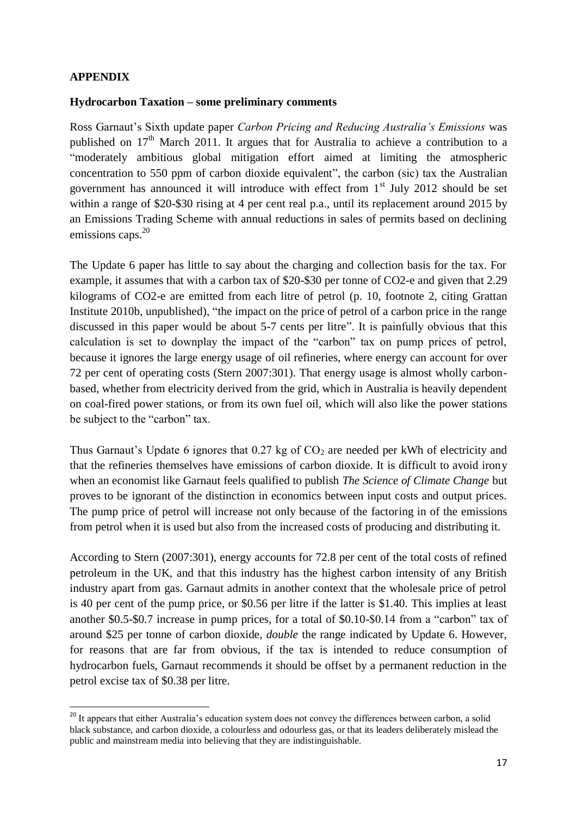.

#### **Hydrocarbon Taxation – some preliminary comments**

Ross Garnaut"s Sixth update paper *Carbon Pricing and Reducing Australia's Emissions* was published on  $17<sup>th</sup>$  March 2011. It argues that for Australia to achieve a contribution to a "moderately ambitious global mitigation effort aimed at limiting the atmospheric concentration to 550 ppm of carbon dioxide equivalent", the carbon (sic) tax the Australian government has announced it will introduce with effect from  $1<sup>st</sup>$  July 2012 should be set within a range of \$20-\$30 rising at 4 per cent real p.a., until its replacement around 2015 by an Emissions Trading Scheme with annual reductions in sales of permits based on declining emissions caps.<sup>20</sup>

The Update 6 paper has little to say about the charging and collection basis for the tax. For example, it assumes that with a carbon tax of \$20-\$30 per tonne of CO2-e and given that 2.29 kilograms of CO2-e are emitted from each litre of petrol (p. 10, footnote 2, citing Grattan Institute 2010b, unpublished), "the impact on the price of petrol of a carbon price in the range discussed in this paper would be about 5-7 cents per litre". It is painfully obvious that this calculation is set to downplay the impact of the "carbon" tax on pump prices of petrol, because it ignores the large energy usage of oil refineries, where energy can account for over 72 per cent of operating costs (Stern 2007:301). That energy usage is almost wholly carbonbased, whether from electricity derived from the grid, which in Australia is heavily dependent on coal-fired power stations, or from its own fuel oil, which will also like the power stations be subject to the "carbon" tax.

Thus Garnaut's Update 6 ignores that  $0.27$  kg of  $CO<sub>2</sub>$  are needed per kWh of electricity and that the refineries themselves have emissions of carbon dioxide. It is difficult to avoid irony when an economist like Garnaut feels qualified to publish *The Science of Climate Change* but proves to be ignorant of the distinction in economics between input costs and output prices. The pump price of petrol will increase not only because of the factoring in of the emissions from petrol when it is used but also from the increased costs of producing and distributing it.

According to Stern (2007:301), energy accounts for 72.8 per cent of the total costs of refined petroleum in the UK, and that this industry has the highest carbon intensity of any British industry apart from gas. Garnaut admits in another context that the wholesale price of petrol is 40 per cent of the pump price, or \$0.56 per litre if the latter is \$1.40. This implies at least another \$0.5-\$0.7 increase in pump prices, for a total of \$0.10-\$0.14 from a "carbon" tax of around \$25 per tonne of carbon dioxide, *double* the range indicated by Update 6. However, for reasons that are far from obvious, if the tax is intended to reduce consumption of hydrocarbon fuels, Garnaut recommends it should be offset by a permanent reduction in the petrol excise tax of \$0.38 per litre.

<sup>&</sup>lt;sup>20</sup> It appears that either Australia's education system does not convey the differences between carbon, a solid black substance, and carbon dioxide, a colourless and odourless gas, or that its leaders deliberately mislead the public and mainstream media into believing that they are indistinguishable.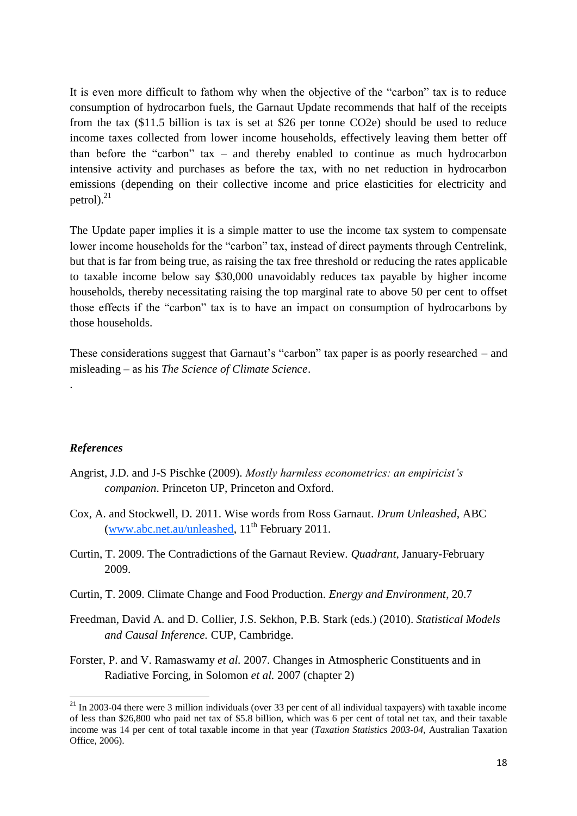It is even more difficult to fathom why when the objective of the "carbon" tax is to reduce consumption of hydrocarbon fuels, the Garnaut Update recommends that half of the receipts from the tax (\$11.5 billion is tax is set at \$26 per tonne CO2e) should be used to reduce income taxes collected from lower income households, effectively leaving them better off than before the "carbon" tax – and thereby enabled to continue as much hydrocarbon intensive activity and purchases as before the tax, with no net reduction in hydrocarbon emissions (depending on their collective income and price elasticities for electricity and petrol). $^{21}$ 

The Update paper implies it is a simple matter to use the income tax system to compensate lower income households for the "carbon" tax, instead of direct payments through Centrelink, but that is far from being true, as raising the tax free threshold or reducing the rates applicable to taxable income below say \$30,000 unavoidably reduces tax payable by higher income households, thereby necessitating raising the top marginal rate to above 50 per cent to offset those effects if the "carbon" tax is to have an impact on consumption of hydrocarbons by those households.

These considerations suggest that Garnaut's "carbon" tax paper is as poorly researched – and misleading – as his *The Science of Climate Science*.

#### *References*

.

1

- Angrist, J.D. and J-S Pischke (2009). *Mostly harmless econometrics: an empiricist's companion*. Princeton UP, Princeton and Oxford.
- Cox, A. and Stockwell, D. 2011. Wise words from Ross Garnaut. *Drum Unleashed*, ABC [\(www.abc.net.au/unleashed,](http://www.abc.net.au/unleashed)  $11<sup>th</sup>$  February 2011.
- Curtin, T. 2009. The Contradictions of the Garnaut Review. *Quadrant*, January-February 2009.
- Curtin, T. 2009. Climate Change and Food Production. *Energy and Environment*, 20.7
- Freedman, David A. and D. Collier, J.S. Sekhon, P.B. Stark (eds.) (2010). *Statistical Models and Causal Inference.* CUP, Cambridge.
- Forster, P. and V. Ramaswamy *et al.* 2007. Changes in Atmospheric Constituents and in Radiative Forcing, in Solomon *et al.* 2007 (chapter 2)

 $^{21}$  In 2003-04 there were 3 million individuals (over 33 per cent of all individual taxpayers) with taxable income of less than \$26,800 who paid net tax of \$5.8 billion, which was 6 per cent of total net tax, and their taxable income was 14 per cent of total taxable income in that year (*Taxation Statistics 2003-04*, Australian Taxation Office, 2006).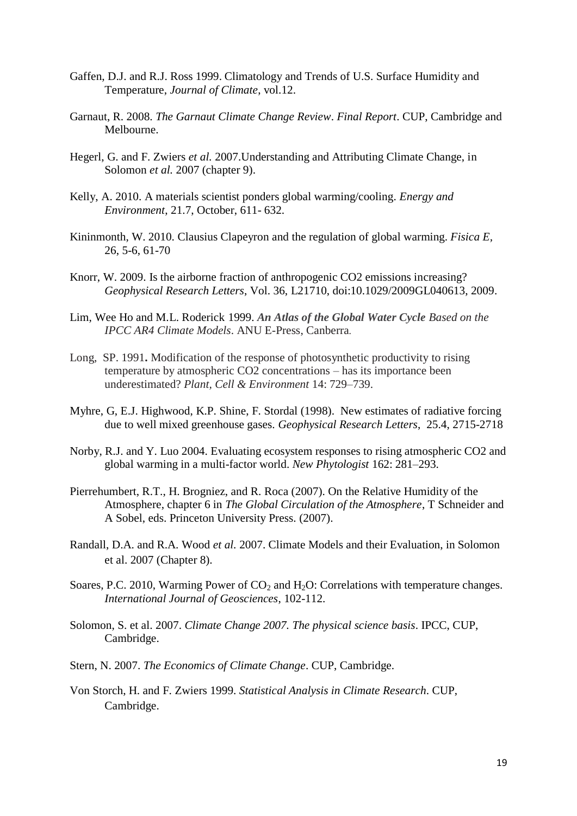- Gaffen, D.J. and R.J. Ross 1999. Climatology and Trends of U.S. Surface Humidity and Temperature, *Journal of Climate*, vol.12.
- Garnaut, R. 2008. *The Garnaut Climate Change Review*. *Final Report*. CUP, Cambridge and Melbourne.
- Hegerl, G. and F. Zwiers *et al.* 2007.Understanding and Attributing Climate Change, in Solomon *et al.* 2007 (chapter 9).
- Kelly, A. 2010. A materials scientist ponders global warming/cooling*. Energy and Environment*, 21.7, October, 611- 632.
- Kininmonth, W. 2010. Clausius Clapeyron and the regulation of global warming. *Fisica E,* 26, 5-6, 61-70
- Knorr, W. 2009. Is the airborne fraction of anthropogenic CO2 emissions increasing? *Geophysical Research Letters*, Vol. 36, L21710, doi:10.1029/2009GL040613, 2009.
- Lim, Wee Ho and M.L. Roderick 1999. *An Atlas of the Global Water Cycle Based on the IPCC AR4 Climate Models*. ANU E-Press, Canberra.
- Long, SP. 1991**.** Modification of the response of photosynthetic productivity to rising temperature by atmospheric CO2 concentrations – has its importance been underestimated? *Plant, Cell & Environment* 14: 729–739.
- Myhre, G, E.J. Highwood, K.P. Shine, F. Stordal (1998). New estimates of radiative forcing due to well mixed greenhouse gases. *Geophysical Research Letters*, 25.4, 2715-2718
- Norby, R.J. and Y. Luo 2004. Evaluating ecosystem responses to rising atmospheric CO2 and global warming in a multi-factor world. *New Phytologist* 162: 281–293.
- Pierrehumbert, R.T., H. Brogniez, and R. Roca (2007). On the Relative Humidity of the Atmosphere, chapter 6 in *The Global Circulation of the Atmosphere*, T Schneider and A Sobel, eds. Princeton University Press. (2007).
- Randall, D.A. and R.A. Wood *et al.* 2007. Climate Models and their Evaluation, in Solomon et al. 2007 (Chapter 8).
- Soares, P.C. 2010, Warming Power of  $CO<sub>2</sub>$  and  $H<sub>2</sub>O$ : Correlations with temperature changes. *International Journal of Geosciences*, 102-112.
- Solomon, S. et al. 2007. *Climate Change 2007. The physical science basis*. IPCC, CUP, Cambridge.
- Stern, N. 2007. *The Economics of Climate Change*. CUP, Cambridge.
- Von Storch, H. and F. Zwiers 1999. *Statistical Analysis in Climate Research*. CUP, Cambridge.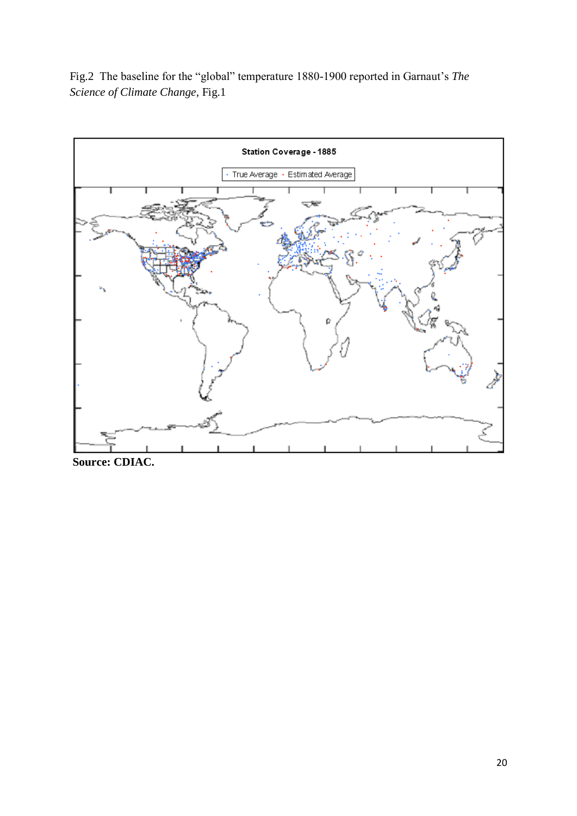Fig.2 The baseline for the "global" temperature 1880-1900 reported in Garnaut"s *The Science of Climate Change,* Fig.1



**Source: CDIAC.**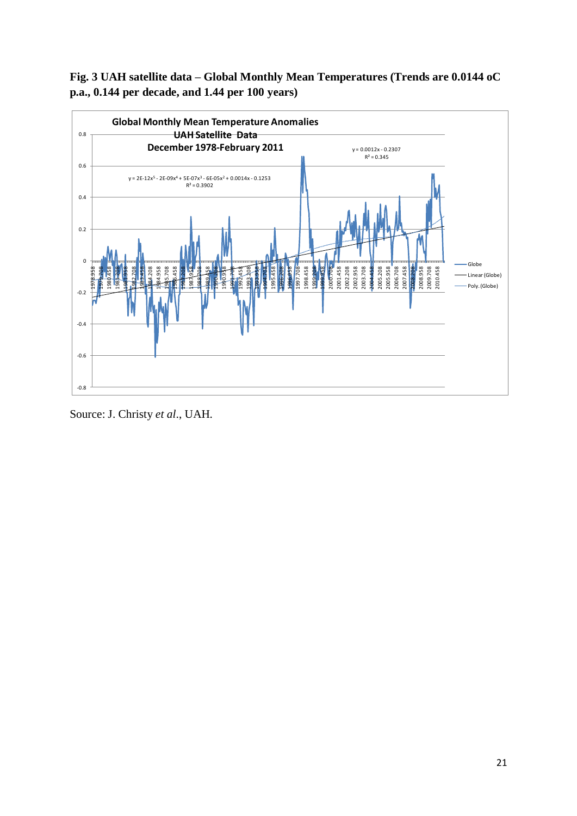# **Fig. 3 UAH satellite data – Global Monthly Mean Temperatures (Trends are 0.0144 oC p.a., 0.144 per decade, and 1.44 per 100 years)**



Source: J. Christy *et al*., UAH.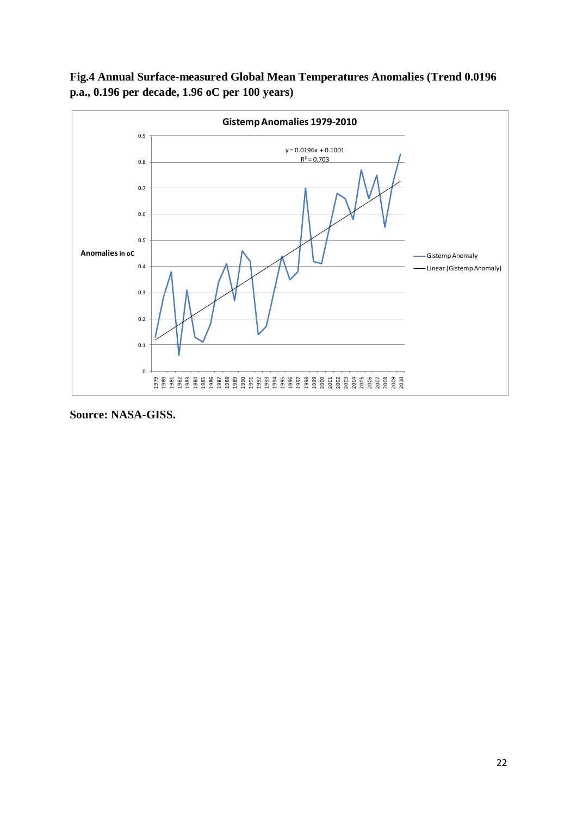

**Fig.4 Annual Surface-measured Global Mean Temperatures Anomalies (Trend 0.0196 p.a., 0.196 per decade, 1.96 oC per 100 years)**

**Source: NASA-GISS.**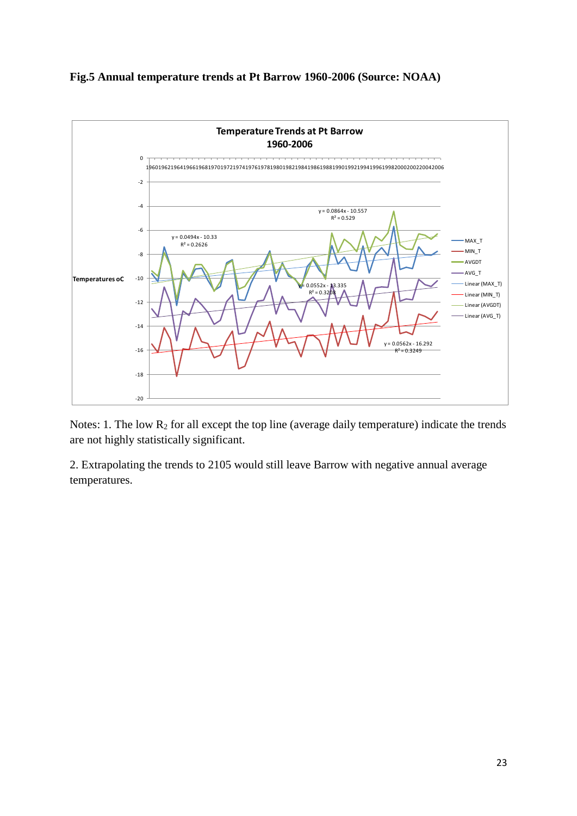### **Fig.5 Annual temperature trends at Pt Barrow 1960-2006 (Source: NOAA)**



Notes: 1. The low  $R_2$  for all except the top line (average daily temperature) indicate the trends are not highly statistically significant.

2. Extrapolating the trends to 2105 would still leave Barrow with negative annual average temperatures.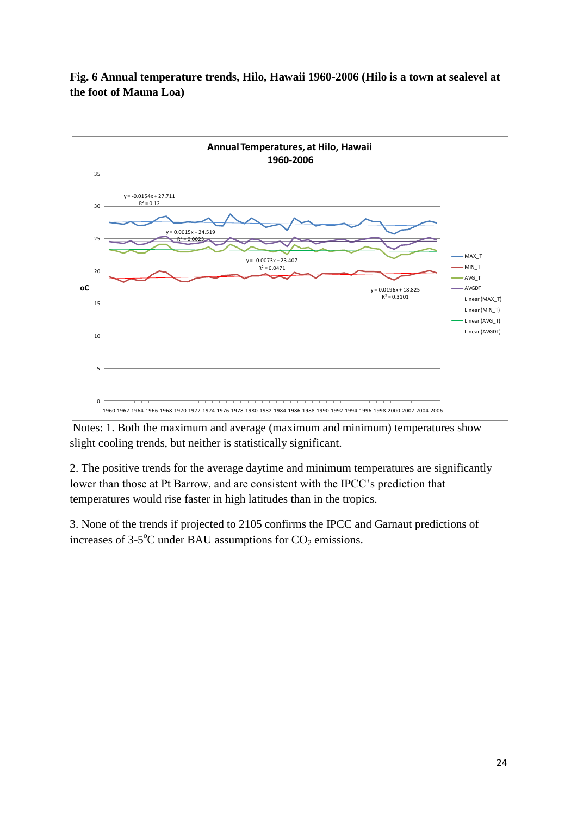**Fig. 6 Annual temperature trends, Hilo, Hawaii 1960-2006 (Hilo is a town at sealevel at the foot of Mauna Loa)**



Notes: 1. Both the maximum and average (maximum and minimum) temperatures show slight cooling trends, but neither is statistically significant.

2. The positive trends for the average daytime and minimum temperatures are significantly lower than those at Pt Barrow, and are consistent with the IPCC"s prediction that temperatures would rise faster in high latitudes than in the tropics.

3. None of the trends if projected to 2105 confirms the IPCC and Garnaut predictions of increases of  $3-5$ <sup>o</sup>C under BAU assumptions for  $CO_2$  emissions.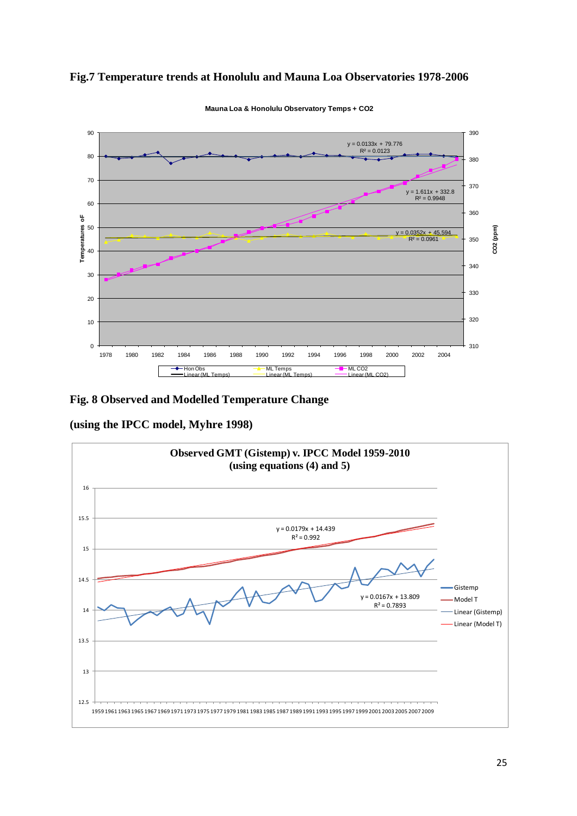#### **Fig.7 Temperature trends at Honolulu and Mauna Loa Observatories 1978-2006**



**Mauna Loa & Honolulu Observatory Temps + CO2**

**Fig. 8 Observed and Modelled Temperature Change** 

**(using the IPCC model, Myhre 1998)**